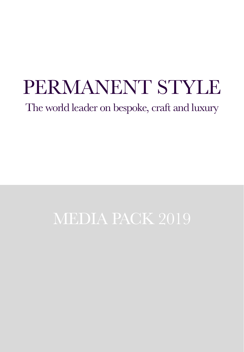The world leader on bespoke, craft and luxury

# MEDIA PACK 2019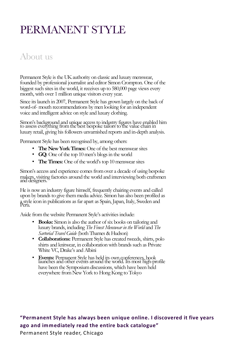### About us

Permanent Style is the UK authority on classic and luxury menswear, founded by professional journalist and editor Simon Crompton. One of the biggest such sites in the world, it receives up to 580,000 page views every month, with over 1 million unique visitors every year.

Since its launch in 2007, Permanent Style has grown largely on the back of word-of- mouth recommendations by men looking for an independent voice and intelligent advice on style and luxury clothing.

Simon's background and unique access to industry figures have enabled him to assess everything from the best bespoke tailors to the value chain in luxury retail, giving his followers unvarnished reports and in-depth analysis.

Permanent Style has been recognised by, among others:

- **The New York Times:** One of the best menswear sites
- **GQ:** One of the top 10 men's blogs in the world
- **The Times:** One of the world's top 10 menswear sites

Simon's access and experience comes from over a decade of using bespoke makers, visiting factories around the world and interviewing both craftsmen and designers.

He is now an industry figure himself, frequently chairing events and called upon by brands to give them media advice. Simon has also been profiled as a style icon in publications as far apart as Spain, Japan, Italy, Sweden and Peru.

Aside from the website Permanent Style's activities include:

- **Books:** Simon is also the author of six books on tailoring and luxury brands, including *The Finest Menswear in the World* and *The*
- *Sartorial Travel Guide* (both Thames & Hudson) **Collaborations:** Permanent Style has created tweeds, shirts, polo shirts and knitwear, in collaboration with brands such as Private White VC, Drake's and Albini
- **Events:** Permanent Style has held its own conferences, book launches and other events around the world. Its most high-profile have been the Symposium discussions, which have been held everywhere from New York to Hong Kong to Tokyo

#### **"Permanent Style has always been unique online. I discovered it five years ago and immediately read the entire back catalogue"**

Permanent Style reader, Chicago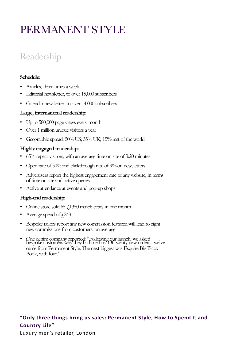## Readership

#### **Schedule:**

- Articles, three times a week
- Editorial newsletter, to over 15,000 subscribers
- Calendar newsletter, to over 14,000 subscribers

#### **Large, international readership:**

- Up to 580,000 page views every month
- Over 1 million unique visitors a year
- Geographic spread: 50% US; 35% UK; 15% rest of the world

#### **Highly engaged readership:**

- 65% repeat visitors, with an average time on site of 3:20 minutes
- Open rate of 30%and clickthrough rate of 9%on newsletters
- Advertisers report the highest engagement rate of any website, in terms of time on site and active queries
- Active attendance at events and pop-up shops

#### **High-end readership:**

- Online store sold 65  $f$ 1350 trench coats in one month
- Average spend of  $\angle 243$
- Bespoke tailors report any new commission featured will lead to eight new commissions from customers, on average
- One denim company reported: "Following our launch, we asked bespoke customers why they had tried us. Of twenty new orders, twelve came from Permanent Style. The next biggest was Esquire Big Black Book, with four."

### **"Only three things bring us sales: Permanent Style, How to Spend It and Country Life"**

Luxury men's retailer, London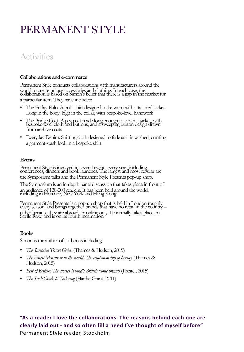### **Activities**

#### **Collaborations and e-commerce**

Permanent Style conducts collaborations with manufacturers around the world to create unique accessories and clothing. In each case, the collaboration is based on Simon's belief that there is a gap in the market for a particular item. They have included:

- The Friday Polo. A polo shirt designed to be worn with a tailored jacket. Long in the body, high in the collar, with bespoke-level handwork
- The Bridge Coat. A pea coat made long enough to cover a jacket, with bespoke-level cloth and buttons, and a sweeping button design drawn from archive coats
- Everyday Denim. Shirting cloth designed to fade as it is washed, creating a garment-wash look in a bespoke shirt.

#### **Events**

Permanent Style is involved in several events every year, including conferences, dinners and book launches. The largest and most regular are the Symposium talks and the Permanent Style Presents pop-up shop.

The Symposium is an in-depth panel discussion that takes place in front of an audience of 120-200 readers. It has been held around the world, including in Florence, New York and Hong Kong.

Permanent Style Presents is a pop-up shop that is held in London roughly every season, and brings together brands that have no retail in the country – either because they are abroad, or online only. It normally takes place on Savile Row, and is on its fourth incarnation.

#### **Books**

Simon is the author of six books including:

- *The Sartorial Travel Guide* (Thames & Hudson, 2019)
- *The Finest Menswear in the world: The craftsmanship of luxury* (Thames & Hudson, 2015)
- *Best of British: The stories behind's British iconic brands* (Prestel, 2015)
- *The Snob Guide to Tailoring* (Hardie Grant, 2011)

**"As a reader I love the collaborations. The reasons behind each one are clearly laid out - and so often fill a need I've thought of myself before"**  Permanent Style reader, Stockholm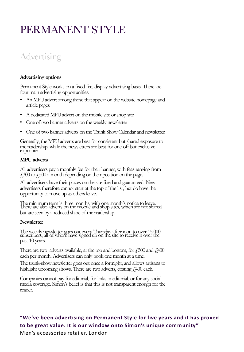## **Advertising**

#### **Advertising options**

Permanent Style works on a fixed-fee, display-advertising basis. There are four main advertising opportunities.

- An MPU advert among those that appear on the website homepage and article pages
- A dedicated MPU advert on the mobile site or shop site
- One of two banner adverts on the weekly newsletter
- One of two banner adverts on the Trunk Show Calendar and newsletter

Generally, the MPU adverts are best for consistent but shared exposure to the readership, while the newsletters are best for one-off but exclusive exposure.

#### **MPU adverts**

All advertisers pay a monthly fee for their banner, with fees ranging from  $\angle$  1300 to  $\angle$  500 a month depending on their position on the page.

All advertisers have their places on the site fixed and guaranteed. New advertisers therefore cannot start at the top of the list, but do have the opportunity to move up as others leave.

The minimum term is three months, with one month's notice to leave. There are also adverts on the mobile and shop sites, which are not shared but are seen by a reduced share of the readership.

#### **Newsletter**

The weekly newsletter goes out every Thursday afternoon to over 15,000 subscribers, all of whom have signed up on the site to receive it over the past 10 years.

There are two adverts available, at the top and bottom, for  $\frac{1}{2}500$  and  $\frac{1}{4}400$ each per month. Advertisers can only book one month at a time.

The trunk-show newsletter goes out once a fortnight, and allows artisans to highlight upcoming shows. There are two adverts, costing  $\ell$ 400 each.

Companies cannot pay for editorial, for links in editorial, or for any social media coverage. Simon's belief is that this is not transparent enough for the reader.

### **"We've been advertising on Permanent Style for five years and it has proved to be great value. It is our window onto Simon's unique community"**

Men's accessories retailer, London